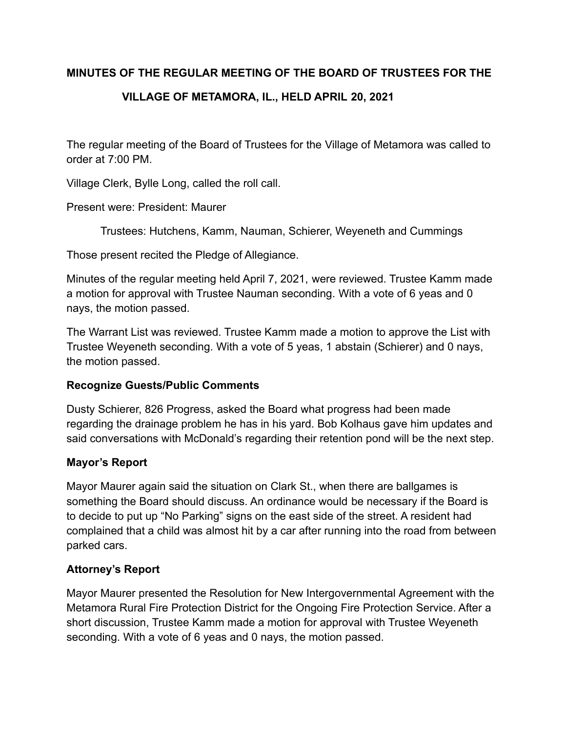### **MINUTES OF THE REGULAR MEETING OF THE BOARD OF TRUSTEES FOR THE**

# **VILLAGE OF METAMORA, IL., HELD APRIL 20, 2021**

The regular meeting of the Board of Trustees for the Village of Metamora was called to order at 7:00 PM.

Village Clerk, Bylle Long, called the roll call.

Present were: President: Maurer

Trustees: Hutchens, Kamm, Nauman, Schierer, Weyeneth and Cummings

Those present recited the Pledge of Allegiance.

Minutes of the regular meeting held April 7, 2021, were reviewed. Trustee Kamm made a motion for approval with Trustee Nauman seconding. With a vote of 6 yeas and 0 nays, the motion passed.

The Warrant List was reviewed. Trustee Kamm made a motion to approve the List with Trustee Weyeneth seconding. With a vote of 5 yeas, 1 abstain (Schierer) and 0 nays, the motion passed.

### **Recognize Guests/Public Comments**

Dusty Schierer, 826 Progress, asked the Board what progress had been made regarding the drainage problem he has in his yard. Bob Kolhaus gave him updates and said conversations with McDonald's regarding their retention pond will be the next step.

### **Mayor's Report**

Mayor Maurer again said the situation on Clark St., when there are ballgames is something the Board should discuss. An ordinance would be necessary if the Board is to decide to put up "No Parking" signs on the east side of the street. A resident had complained that a child was almost hit by a car after running into the road from between parked cars.

### **Attorney's Report**

Mayor Maurer presented the Resolution for New Intergovernmental Agreement with the Metamora Rural Fire Protection District for the Ongoing Fire Protection Service. After a short discussion, Trustee Kamm made a motion for approval with Trustee Weyeneth seconding. With a vote of 6 yeas and 0 nays, the motion passed.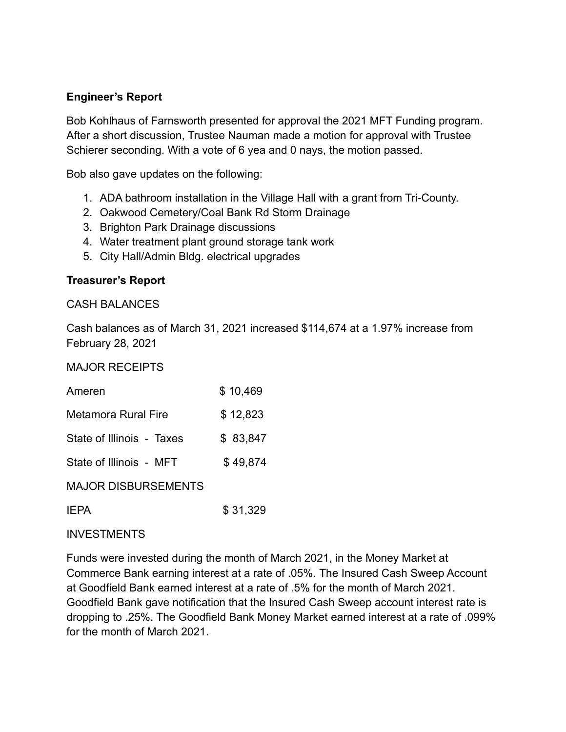### **Engineer's Report**

Bob Kohlhaus of Farnsworth presented for approval the 2021 MFT Funding program. After a short discussion, Trustee Nauman made a motion for approval with Trustee Schierer seconding. With a vote of 6 yea and 0 nays, the motion passed.

Bob also gave updates on the following:

- 1. ADA bathroom installation in the Village Hall with a grant from Tri-County.
- 2. Oakwood Cemetery/Coal Bank Rd Storm Drainage
- 3. Brighton Park Drainage discussions
- 4. Water treatment plant ground storage tank work
- 5. City Hall/Admin Bldg. electrical upgrades

#### **Treasurer's Report**

#### CASH BALANCES

Cash balances as of March 31, 2021 increased \$114,674 at a 1.97% increase from February 28, 2021

MAJOR RECEIPTS

| Ameren                     | \$10,469 |
|----------------------------|----------|
| <b>Metamora Rural Fire</b> | \$12,823 |
| State of Illinois - Taxes  | \$83,847 |
| State of Illinois - MFT    | \$49,874 |
| <b>MAJOR DISBURSEMENTS</b> |          |
|                            |          |

**IEPA** \$31,329

#### INVESTMENTS

Funds were invested during the month of March 2021, in the Money Market at Commerce Bank earning interest at a rate of .05%. The Insured Cash Sweep Account at Goodfield Bank earned interest at a rate of .5% for the month of March 2021. Goodfield Bank gave notification that the Insured Cash Sweep account interest rate is dropping to .25%. The Goodfield Bank Money Market earned interest at a rate of .099% for the month of March 2021.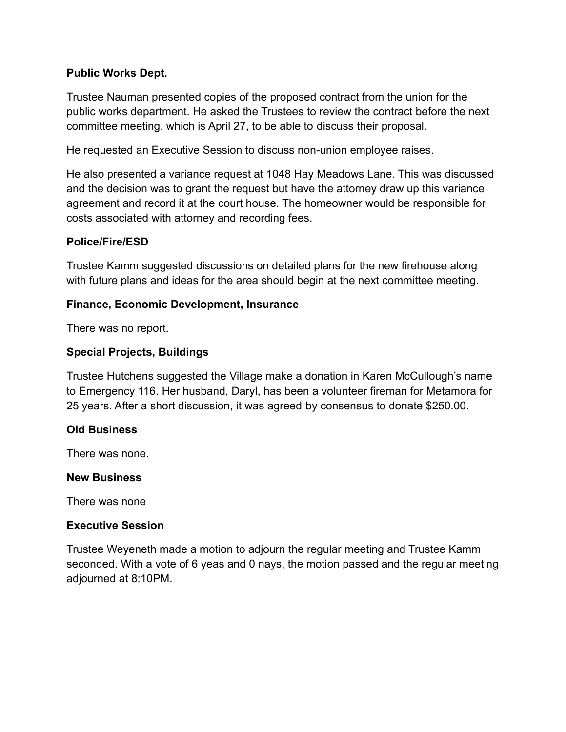### **Public Works Dept.**

Trustee Nauman presented copies of the proposed contract from the union for the public works department. He asked the Trustees to review the contract before the next committee meeting, which is April 27, to be able to discuss their proposal.

He requested an Executive Session to discuss non-union employee raises.

He also presented a variance request at 1048 Hay Meadows Lane. This was discussed and the decision was to grant the request but have the attorney draw up this variance agreement and record it at the court house. The homeowner would be responsible for costs associated with attorney and recording fees.

### **Police/Fire/ESD**

Trustee Kamm suggested discussions on detailed plans for the new firehouse along with future plans and ideas for the area should begin at the next committee meeting.

### **Finance, Economic Development, Insurance**

There was no report.

### **Special Projects, Buildings**

Trustee Hutchens suggested the Village make a donation in Karen McCullough's name to Emergency 116. Her husband, Daryl, has been a volunteer fireman for Metamora for 25 years. After a short discussion, it was agreed by consensus to donate \$250.00.

#### **Old Business**

There was none.

#### **New Business**

There was none

#### **Executive Session**

Trustee Weyeneth made a motion to adjourn the regular meeting and Trustee Kamm seconded. With a vote of 6 yeas and 0 nays, the motion passed and the regular meeting adjourned at 8:10PM.